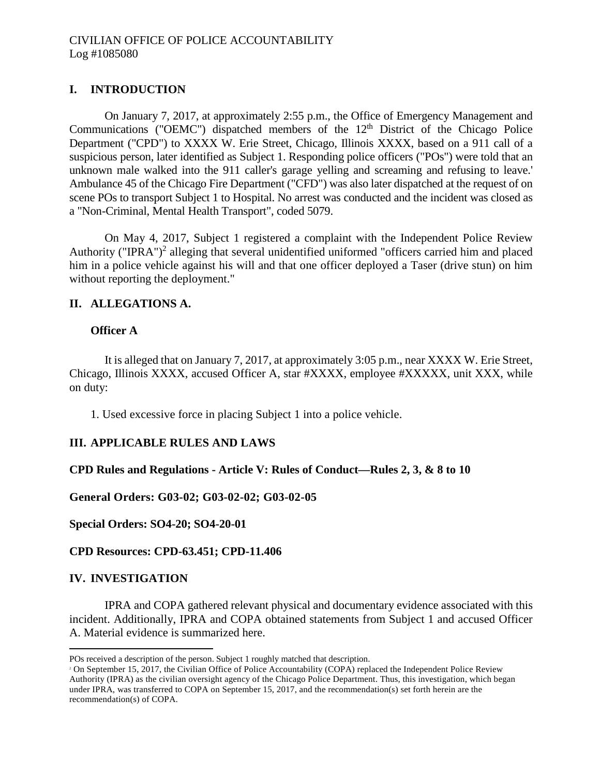# **I. INTRODUCTION**

On January 7, 2017, at approximately 2:55 p.m., the Office of Emergency Management and Communications ("OEMC") dispatched members of the  $12<sup>th</sup>$  District of the Chicago Police Department ("CPD") to XXXX W. Erie Street, Chicago, Illinois XXXX, based on a 911 call of a suspicious person, later identified as Subject 1. Responding police officers ("POs") were told that an unknown male walked into the 911 caller's garage yelling and screaming and refusing to leave.' Ambulance 45 of the Chicago Fire Department ("CFD") was also later dispatched at the request of on scene POs to transport Subject 1 to Hospital. No arrest was conducted and the incident was closed as a "Non-Criminal, Mental Health Transport", coded 5079.

On May 4, 2017, Subject 1 registered a complaint with the Independent Police Review Authority ("IPRA")<sup>2</sup> alleging that several unidentified uniformed "officers carried him and placed him in a police vehicle against his will and that one officer deployed a Taser (drive stun) on him without reporting the deployment."

## **II. ALLEGATIONS A.**

### **Officer A**

It is alleged that on January 7, 2017, at approximately 3:05 p.m., near XXXX W. Erie Street, Chicago, Illinois XXXX, accused Officer A, star #XXXX, employee #XXXXX, unit XXX, while on duty:

1. Used excessive force in placing Subject 1 into a police vehicle.

### **III. APPLICABLE RULES AND LAWS**

### **CPD Rules and Regulations - Article V: Rules of Conduct—Rules 2, 3, & 8 to 10**

### **General Orders: G03-02; G03-02-02; G03-02-05**

**Special Orders: SO4-20; SO4-20-01**

### **CPD Resources: CPD-63.451; CPD-11.406**

### **IV. INVESTIGATION**

IPRA and COPA gathered relevant physical and documentary evidence associated with this incident. Additionally, IPRA and COPA obtained statements from Subject 1 and accused Officer A. Material evidence is summarized here.

POs received a description of the person. Subject 1 roughly matched that description.

<sup>&</sup>lt;sup>2</sup> On September 15, 2017, the Civilian Office of Police Accountability (COPA) replaced the Independent Police Review Authority (IPRA) as the civilian oversight agency of the Chicago Police Department. Thus, this investigation, which began under IPRA, was transferred to COPA on September 15, 2017, and the recommendation(s) set forth herein are the recommendation(s) of COPA.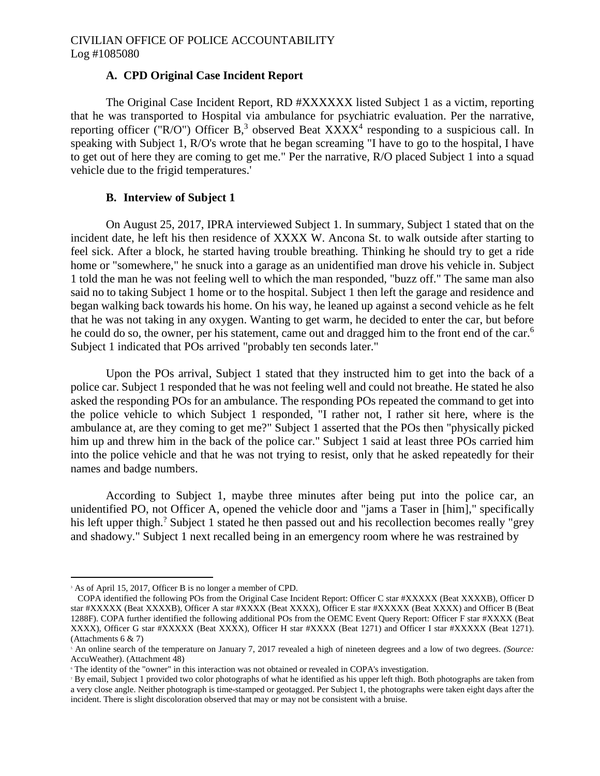### **A. CPD Original Case Incident Report**

The Original Case Incident Report, RD #XXXXXX listed Subject 1 as a victim, reporting that he was transported to Hospital via ambulance for psychiatric evaluation. Per the narrative, reporting officer ("R/O") Officer B,<sup>3</sup> observed Beat  $XXXX^4$  responding to a suspicious call. In speaking with Subject 1, R/O's wrote that he began screaming "I have to go to the hospital, I have to get out of here they are coming to get me." Per the narrative, R/O placed Subject 1 into a squad vehicle due to the frigid temperatures.'

### **B. Interview of Subject 1**

On August 25, 2017, IPRA interviewed Subject 1. In summary, Subject 1 stated that on the incident date, he left his then residence of XXXX W. Ancona St. to walk outside after starting to feel sick. After a block, he started having trouble breathing. Thinking he should try to get a ride home or "somewhere," he snuck into a garage as an unidentified man drove his vehicle in. Subject 1 told the man he was not feeling well to which the man responded, "buzz off." The same man also said no to taking Subject 1 home or to the hospital. Subject 1 then left the garage and residence and began walking back towards his home. On his way, he leaned up against a second vehicle as he felt that he was not taking in any oxygen. Wanting to get warm, he decided to enter the car, but before he could do so, the owner, per his statement, came out and dragged him to the front end of the car.<sup>6</sup> Subject 1 indicated that POs arrived "probably ten seconds later."

Upon the POs arrival, Subject 1 stated that they instructed him to get into the back of a police car. Subject 1 responded that he was not feeling well and could not breathe. He stated he also asked the responding POs for an ambulance. The responding POs repeated the command to get into the police vehicle to which Subject 1 responded, "I rather not, I rather sit here, where is the ambulance at, are they coming to get me?" Subject 1 asserted that the POs then "physically picked him up and threw him in the back of the police car." Subject 1 said at least three POs carried him into the police vehicle and that he was not trying to resist, only that he asked repeatedly for their names and badge numbers.

According to Subject 1, maybe three minutes after being put into the police car, an unidentified PO, not Officer A, opened the vehicle door and "jams a Taser in [him]," specifically his left upper thigh.? Subject 1 stated he then passed out and his recollection becomes really "grey and shadowy." Subject 1 next recalled being in an emergency room where he was restrained by

<sup>&</sup>lt;sup>3</sup> As of April 15, 2017, Officer B is no longer a member of CPD.

COPA identified the following POs from the Original Case Incident Report: Officer C star #XXXXX (Beat XXXXB), Officer D star #XXXXX (Beat XXXXB), Officer A star #XXXX (Beat XXXX), Officer E star #XXXXX (Beat XXXX) and Officer B (Beat 1288F). COPA further identified the following additional POs from the OEMC Event Query Report: Officer F star #XXXX (Beat XXXX), Officer G star #XXXXX (Beat XXXX), Officer H star #XXXX (Beat 1271) and Officer I star #XXXXX (Beat 1271). (Attachments 6 & 7)

<sup>5</sup> An online search of the temperature on January 7, 2017 revealed a high of nineteen degrees and a low of two degrees. *(Source:* AccuWeather). (Attachment 48)

<sup>6</sup> The identity of the "owner" in this interaction was not obtained or revealed in COPA's investigation.

<sup>7</sup> By email, Subject 1 provided two color photographs of what he identified as his upper left thigh. Both photographs are taken from a very close angle. Neither photograph is time-stamped or geotagged. Per Subject 1, the photographs were taken eight days after the incident. There is slight discoloration observed that may or may not be consistent with a bruise.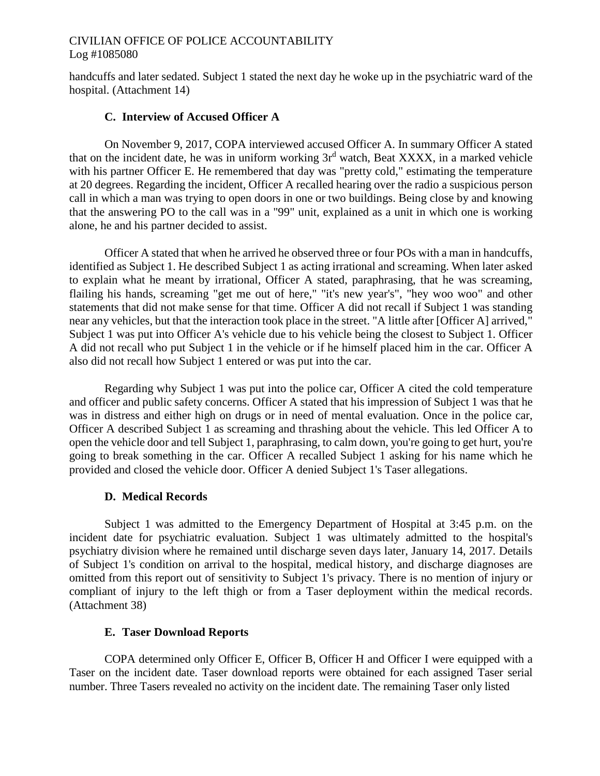## CIVILIAN OFFICE OF POLICE ACCOUNTABILITY Log #1085080

handcuffs and later sedated. Subject 1 stated the next day he woke up in the psychiatric ward of the hospital. (Attachment 14)

### **C. Interview of Accused Officer A**

On November 9, 2017, COPA interviewed accused Officer A. In summary Officer A stated that on the incident date, he was in uniform working  $3r<sup>d</sup>$  watch, Beat XXXX, in a marked vehicle with his partner Officer E. He remembered that day was "pretty cold," estimating the temperature at 20 degrees. Regarding the incident, Officer A recalled hearing over the radio a suspicious person call in which a man was trying to open doors in one or two buildings. Being close by and knowing that the answering PO to the call was in a "99" unit, explained as a unit in which one is working alone, he and his partner decided to assist.

Officer A stated that when he arrived he observed three or four POs with a man in handcuffs, identified as Subject 1. He described Subject 1 as acting irrational and screaming. When later asked to explain what he meant by irrational, Officer A stated, paraphrasing, that he was screaming, flailing his hands, screaming "get me out of here," "it's new year's", "hey woo woo" and other statements that did not make sense for that time. Officer A did not recall if Subject 1 was standing near any vehicles, but that the interaction took place in the street. "A little after [Officer A] arrived," Subject 1 was put into Officer A's vehicle due to his vehicle being the closest to Subject 1. Officer A did not recall who put Subject 1 in the vehicle or if he himself placed him in the car. Officer A also did not recall how Subject 1 entered or was put into the car.

Regarding why Subject 1 was put into the police car, Officer A cited the cold temperature and officer and public safety concerns. Officer A stated that his impression of Subject 1 was that he was in distress and either high on drugs or in need of mental evaluation. Once in the police car, Officer A described Subject 1 as screaming and thrashing about the vehicle. This led Officer A to open the vehicle door and tell Subject 1, paraphrasing, to calm down, you're going to get hurt, you're going to break something in the car. Officer A recalled Subject 1 asking for his name which he provided and closed the vehicle door. Officer A denied Subject 1's Taser allegations.

## **D. Medical Records**

Subject 1 was admitted to the Emergency Department of Hospital at 3:45 p.m. on the incident date for psychiatric evaluation. Subject 1 was ultimately admitted to the hospital's psychiatry division where he remained until discharge seven days later, January 14, 2017. Details of Subject 1's condition on arrival to the hospital, medical history, and discharge diagnoses are omitted from this report out of sensitivity to Subject 1's privacy. There is no mention of injury or compliant of injury to the left thigh or from a Taser deployment within the medical records. (Attachment 38)

## **E. Taser Download Reports**

COPA determined only Officer E, Officer B, Officer H and Officer I were equipped with a Taser on the incident date. Taser download reports were obtained for each assigned Taser serial number. Three Tasers revealed no activity on the incident date. The remaining Taser only listed